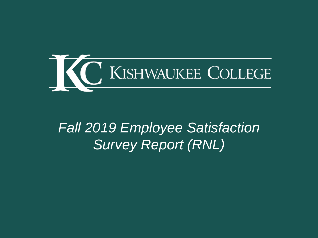

# *Fall 2019 Employee Satisfaction Survey Report (RNL)*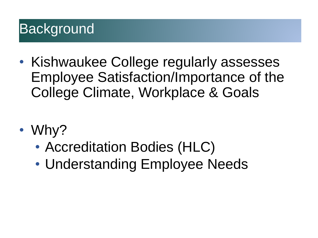# **Background**

- Kishwaukee College regularly assesses Employee Satisfaction/Importance of the College Climate, Workplace & Goals
- Why?
	- Accreditation Bodies (HLC)
	- Understanding Employee Needs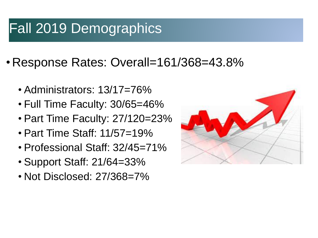## Fall 2019 Demographics

- •Response Rates: Overall=161/368=43.8%
	- Administrators: 13/17=76%
	- Full Time Faculty: 30/65=46%
	- Part Time Faculty: 27/120=23%
	- Part Time Staff: 11/57=19%
	- Professional Staff: 32/45=71%
	- Support Staff: 21/64=33%
	- Not Disclosed: 27/368=7%

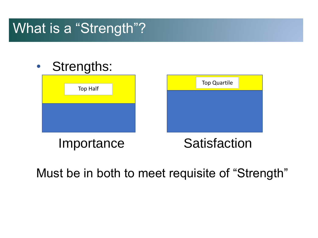### What is a "Strength"?



Must be in both to meet requisite of "Strength"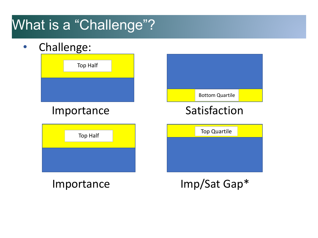## What is a "Challenge"?

• Challenge:

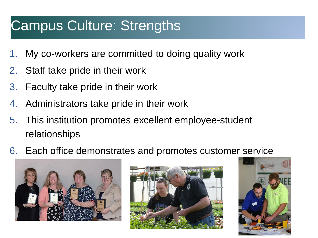#### Campus Culture: Strengths

- 1. My co-workers are committed to doing quality work
- 2. Staff take pride in their work
- 3. Faculty take pride in their work
- 4. Administrators take pride in their work
- 5. This institution promotes excellent employee-student relationships
- 6. Each office demonstrates and promotes customer service





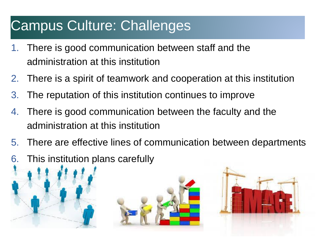#### Campus Culture: Challenges

- 1. There is good communication between staff and the administration at this institution
- 2. There is a spirit of teamwork and cooperation at this institution
- 3. The reputation of this institution continues to improve
- 4. There is good communication between the faculty and the administration at this institution
- 5. There are effective lines of communication between departments
- 6. This institution plans carefully



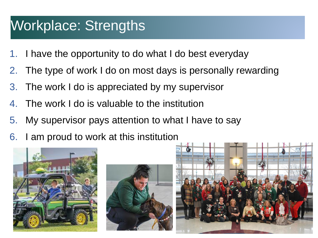### Workplace: Strengths

- 1. I have the opportunity to do what I do best everyday
- 2. The type of work I do on most days is personally rewarding
- 3. The work I do is appreciated by my supervisor
- 4. The work I do is valuable to the institution
- 5. My supervisor pays attention to what I have to say
- 6. I am proud to work at this institution





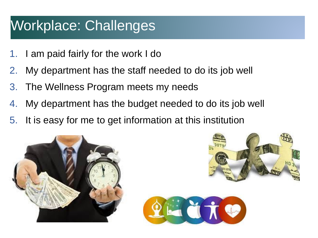### Workplace: Challenges

- 1. I am paid fairly for the work I do
- 2. My department has the staff needed to do its job well
- 3. The Wellness Program meets my needs
- 4. My department has the budget needed to do its job well
- 5. It is easy for me to get information at this institution





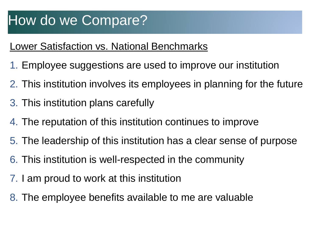#### Lower Satisfaction vs. National Benchmarks

- 1. Employee suggestions are used to improve our institution
- 2. This institution involves its employees in planning for the future
- 3. This institution plans carefully
- 4. The reputation of this institution continues to improve
- 5. The leadership of this institution has a clear sense of purpose
- 6. This institution is well-respected in the community
- 7. I am proud to work at this institution
- 8. The employee benefits available to me are valuable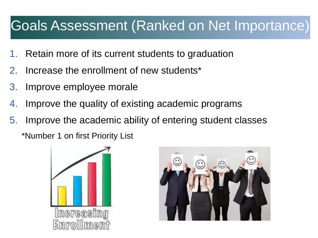#### Goals Assessment (Ranked on Net Importance)

- Retain more of its current students to graduation
- 2. Increase the enrollment of new students\*
- 3. Improve employee morale
- 4. Improve the quality of existing academic programs
- 5. Improve the academic ability of entering student classes

\*Number 1 on first Priority List



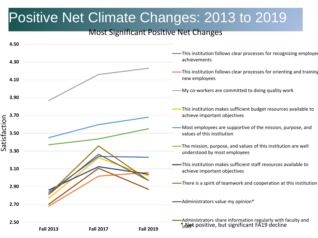### Positive Net Climate Changes: 2013 to 2019

#### Most Significant Positive Net Changes

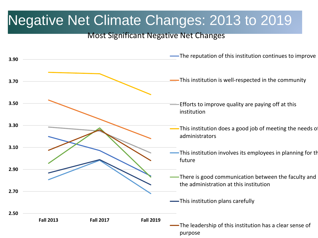### Negative Net Climate Changes: 2013 to 2019

#### Most Significant Negative Net Changes

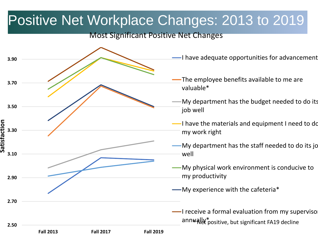#### Positive Net Workplace Changes: 2013 to 2019

#### Most Significant Positive Net Changes



- I have adequate opportunities for advancement
	- The employee benefits available to me are
	- My department has the budget needed to do its
- I have the materials and equipment I need to do my work right
- -My department has the staff needed to do its jo
- My physical work environment is conducive to my productivity
- My experience with the cafeteria\*

 $\blacksquare$ I receive a formal evaluation from my supervisor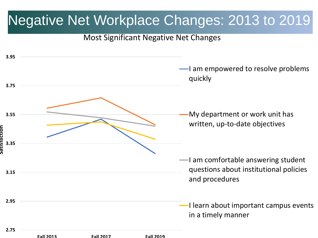#### Negative Net Workplace Changes: 2013 to 2019

#### Most Significant Negative Net Changes

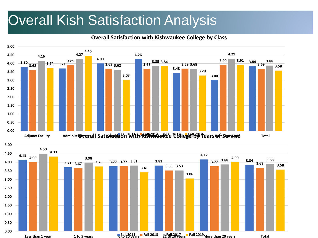### Overall Kish Satisfaction Analysis

#### **Overall Satisfaction with Kishwaukee College by Class**



**computed to the 11 to 5 years 11 to 5 years 11 to 5 years 11 to 10 years Fall 2013 Fall 2017**  $\frac{1}{20}$  **Fall 2019**  $\frac{1}{20}$  **Fall 2019 More than 20 years 10tal** 

**0.00 0.50 1.00**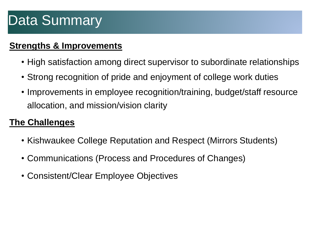#### **Strengths & Improvements**

- High satisfaction among direct supervisor to subordinate relationships
- Strong recognition of pride and enjoyment of college work duties
- Improvements in employee recognition/training, budget/staff resource allocation, and mission/vision clarity

#### **The Challenges**

- Kishwaukee College Reputation and Respect (Mirrors Students)
- Communications (Process and Procedures of Changes)
- Consistent/Clear Employee Objectives